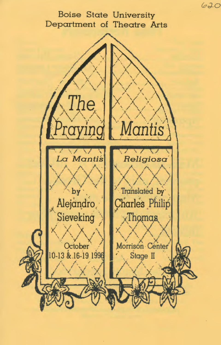Boise State University Department of Theatre Arts



620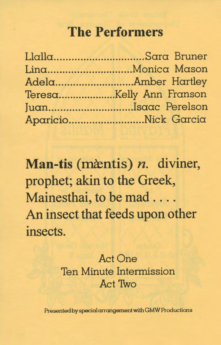# **The Performers**

| JuanIsaac Perelson  |
|---------------------|
| AparicioNick Garcia |

**Man-tis (m**antis) *n.* diviner, prophet; akin to the Greek, Mainesthai, to be mad .... An insect that feeds upon other insects.

### Act One Ten Minute Intermission Act Two

Presented by special arrangement with GMW Productions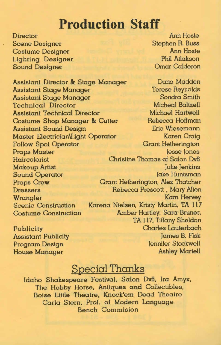## **Production Staff**

**Director** Scene Designer Costume Designer Lighting Designer Sound Designer

Assistant Director & Stage Manager Assistant Stage Manager Assistant Stage Manager Technical Director Assistant Technical Director Costume Shop Manager & Cutter Assistant Sound Design Master Electrician\Ught Operator Follow Spot Operator Props Master Haircolorist Makeup Artist Sound Operator Props Crew Dressers Wrangler Scenic Construction Costume Construction

Publicity Assistant Publicity Program Design House Manager

Ann Hoste Stephen R. Buss Ann Hoste Phil Atlakson Omar Calderon

Dano Madden Terese Reynolds Sondra Smith Micheal Baltzell Michael Hartwell Rebecca Hoffman Eric Wiesemann Karen Craig Grant Hetherington Jesse Jones Christine Thomas of Salon Dv8 Julie Jenkins Jake Huntsman Grant Hetherington, Alex Thatcher Rebecca Prescott , Mary Allen Kam Hervey Karena Nielsen, Kristy Martin, TA 117 Amber Hartley, Sara Bruner, TA 117, Tiffany Sheldon Charles Lauterbach James B. Fisk Jennifer Stockwell Ashley Martell

### Special Thanks

Idaho Shakespeare Festival, Salon Dv8, Ira Amyx, The Hobby Horse, Antiques and Collectibles, Boise Little Theatre, Knock'em Dead Theatre Carla Stern, Prof. of Modern Language Bench Commision